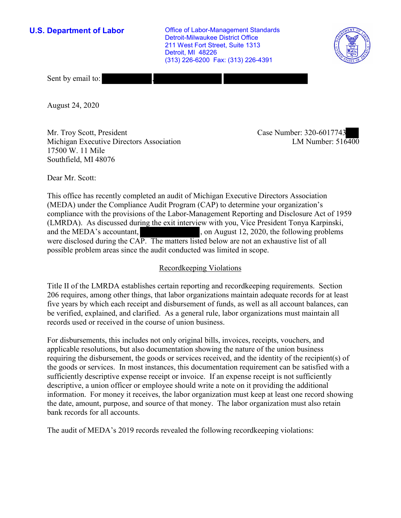**U.S. Department of Labor Conservation Conservation Clabor-Management Standards** Detroit-Milwaukee District Office 211 West Fort Street, Suite 1313 Detroit, MI 48226 (313) 226-6200 Fax: (313) 226-4391



Sent by email to:

August 24, 2020

Mr. Troy Scott, President Case Number: 320-6017743 Michigan Executive Directors Association 17500 W. 11 Mile Southfield, MI 48076

LM Number:  $516400$ 

Dear Mr. Scott:

 This office has recently completed an audit of Michigan Executive Directors Association (MEDA) under the Compliance Audit Program (CAP) to determine your organization's compliance with the provisions of the Labor-Management Reporting and Disclosure Act of 1959 (LMRDA). As discussed during the exit interview with you, Vice President Tonya Karpinski, and the MEDA's accountant,  $\qquad \qquad$ , on August 12, 2020, the following problems were disclosed during the CAP. The matters listed below are not an exhaustive list of all possible problem areas since the audit conducted was limited in scope.

## Recordkeeping Violations

 Title II of the LMRDA establishes certain reporting and recordkeeping requirements. Section 206 requires, among other things, that labor organizations maintain adequate records for at least five years by which each receipt and disbursement of funds, as well as all account balances, can be verified, explained, and clarified. As a general rule, labor organizations must maintain all records used or received in the course of union business.

For disbursements, this includes not only original bills, invoices, receipts, vouchers, and applicable resolutions, but also documentation showing the nature of the union business requiring the disbursement, the goods or services received, and the identity of the recipient(s) of the goods or services. In most instances, this documentation requirement can be satisfied with a sufficiently descriptive expense receipt or invoice. If an expense receipt is not sufficiently descriptive, a union officer or employee should write a note on it providing the additional information. For money it receives, the labor organization must keep at least one record showing the date, amount, purpose, and source of that money. The labor organization must also retain bank records for all accounts.

The audit of MEDA's 2019 records revealed the following recordkeeping violations: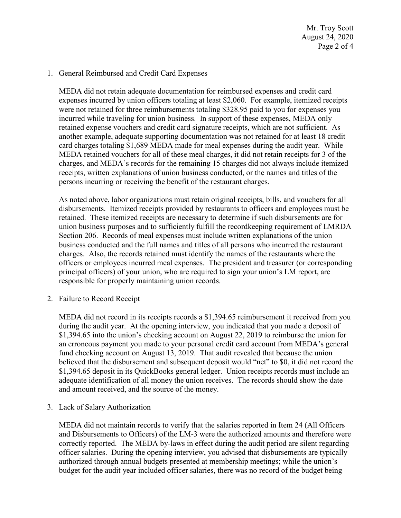Mr. Troy Scott August 24, 2020 Page 2 of 4

## 1. General Reimbursed and Credit Card Expenses

 were not retained for three reimbursements totaling \$328.95 paid to you for expenses you card charges totaling \$1,689 MEDA made for meal expenses during the audit year. While MEDA did not retain adequate documentation for reimbursed expenses and credit card expenses incurred by union officers totaling at least \$2,060. For example, itemized receipts incurred while traveling for union business. In support of these expenses, MEDA only retained expense vouchers and credit card signature receipts, which are not sufficient. As another example, adequate supporting documentation was not retained for at least 18 credit MEDA retained vouchers for all of these meal charges, it did not retain receipts for 3 of the charges, and MEDA's records for the remaining 15 charges did not always include itemized receipts, written explanations of union business conducted, or the names and titles of the persons incurring or receiving the benefit of the restaurant charges.

 union business purposes and to sufficiently fulfill the recordkeeping requirement of LMRDA charges. Also, the records retained must identify the names of the restaurants where the As noted above, labor organizations must retain original receipts, bills, and vouchers for all disbursements. Itemized receipts provided by restaurants to officers and employees must be retained. These itemized receipts are necessary to determine if such disbursements are for Section 206. Records of meal expenses must include written explanations of the union business conducted and the full names and titles of all persons who incurred the restaurant officers or employees incurred meal expenses. The president and treasurer (or corresponding principal officers) of your union, who are required to sign your union's LM report, are responsible for properly maintaining union records.

2. Failure to Record Receipt

 MEDA did not record in its receipts records a [\\$1,394.65](https://1,394.65) reimbursement it received from you an erroneous payment you made to your personal credit card account from MEDA's general \$[1,394.65](https://1,394.65) deposit in its QuickBooks general ledger. Union receipts records must include an and amount received, and the source of the money. 3. Lack of Salary Authorization during the audit year. At the opening interview, you indicated that you made a deposit of \$[1,394.65](https://1,394.65) into the union's checking account on August 22, 2019 to reimburse the union for fund checking account on August 13, 2019. That audit revealed that because the union believed that the disbursement and subsequent deposit would "net" to \$0, it did not record the adequate identification of all money the union receives. The records should show the date

 and Disbursements to Officers) of the LM-3 were the authorized amounts and therefore were budget for the audit year included officer salaries, there was no record of the budget being MEDA did not maintain records to verify that the salaries reported in Item 24 (All Officers correctly reported. The MEDA by-laws in effect during the audit period are silent regarding officer salaries. During the opening interview, you advised that disbursements are typically authorized through annual budgets presented at membership meetings; while the union's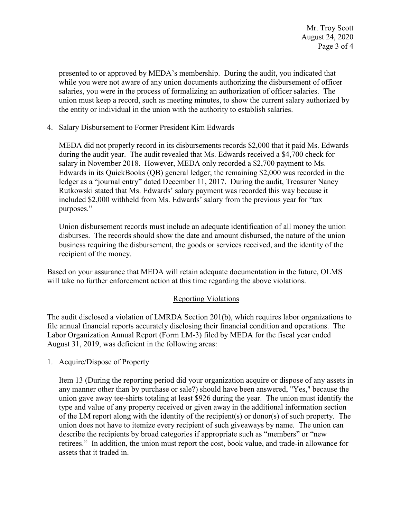salaries, you were in the process of formalizing an authorization of officer salaries. The presented to or approved by MEDA's membership. During the audit, you indicated that while you were not aware of any union documents authorizing the disbursement of officer union must keep a record, such as meeting minutes, to show the current salary authorized by the entity or individual in the union with the authority to establish salaries.

4. Salary Disbursement to Former President Kim Edwards

 ledger as a "journal entry" dated December 11, 2017. During the audit, Treasurer Nancy Rutkowski stated that Ms. Edwards' salary payment was recorded this way because it included \$2,000 withheld from Ms. Edwards' salary from the previous year for "tax MEDA did not properly record in its disbursements records \$2,000 that it paid Ms. Edwards during the audit year. The audit revealed that Ms. Edwards received a \$4,700 check for salary in November 2018. However, MEDA only recorded a \$2,700 payment to Ms. Edwards in its QuickBooks (QB) general ledger; the remaining \$2,000 was recorded in the purposes."

 business requiring the disbursement, the goods or services received, and the identity of the Union disbursement records must include an adequate identification of all money the union disburses. The records should show the date and amount disbursed, the nature of the union recipient of the money.

Based on your assurance that MEDA will retain adequate documentation in the future, OLMS will take no further enforcement action at this time regarding the above violations.

## Reporting Violations

 Labor Organization Annual Report (Form LM-3) filed by MEDA for the fiscal year ended The audit disclosed a violation of LMRDA Section 201(b), which requires labor organizations to file annual financial reports accurately disclosing their financial condition and operations. The August 31, 2019, was deficient in the following areas:

1. Acquire/Dispose of Property

 type and value of any property received or given away in the additional information section retirees." In addition, the union must report the cost, book value, and trade-in allowance for Item 13 (During the reporting period did your organization acquire or dispose of any assets in any manner other than by purchase or sale?) should have been answered, "Yes," because the union gave away tee-shirts totaling at least \$926 during the year. The union must identify the of the LM report along with the identity of the recipient(s) or donor(s) of such property. The union does not have to itemize every recipient of such giveaways by name. The union can describe the recipients by broad categories if appropriate such as "members" or "new assets that it traded in.